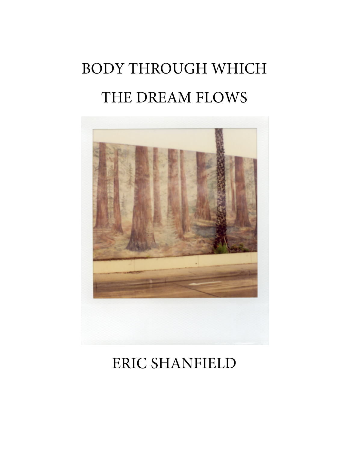

## ERIC SHANFIELD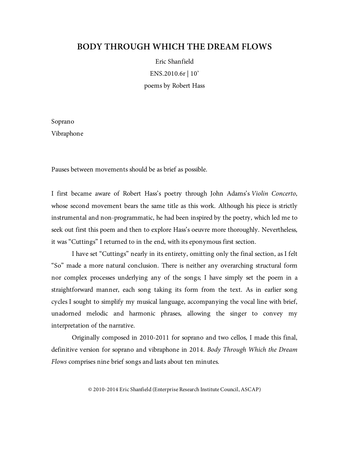Eric Shanfield ENS.2010.6r | 10' poems by Robert Hass

Soprano Vibraphone

Pauses between movements should be as brief as possible.

I first became aware of Robert Hass's poetry through John Adams's *Violin Concerto*, whose second movement bears the same title as this work. Although his piece is strictly instrumental and non-programmatic, he had been inspired by the poetry, which led me to seek out first this poem and then to explore Hass's oeuvre more thoroughly. Nevertheless, it was "Cuttings" I returned to in the end, with its eponymous first section.

I have set "Cuttings" nearly in its entirety, omitting only the final section, as I felt "So" made a more natural conclusion. There is neither any overarching structural form nor complex processes underlying any of the songs; I have simply set the poem in a straightforward manner, each song taking its form from the text. As in earlier song cycles I sought to simplify my musical language, accompanying the vocal line with brief, unadorned melodic and harmonic phrases, allowing the singer to convey my interpretation of the narrative.

Originally composed in 2010-2011 for soprano and two cellos, I made this final, definitive version for soprano and vibraphone in 2014. *Body Through Which the Dream Flows* comprises nine brief songs and lasts about ten minutes.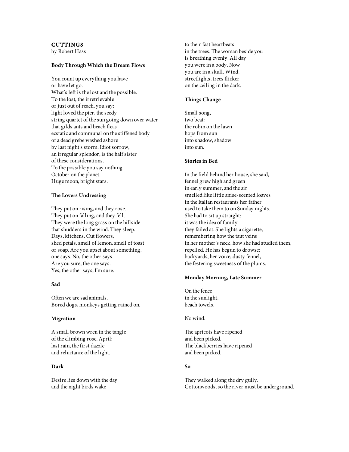#### **CUTTINGS**

by Robert Hass

#### **Body Through Which the Dream Flows**

You count up everything you have or have let go. What's left is the lost and the possible. To the lost, the irretrievable or just out of reach, you say: light loved the pier, the seedy string quartet of the sun going down over water that gilds ants and beach fleas ecstatic and communal on the stiffened body of a dead grebe washed ashore by last night's storm. Idiot sorrow, an irregular splendor, is the half sister of these considerations. To the possible you say nothing. October on the planet. Huge moon, bright stars.

#### **The Lovers Undressing**

They put on rising, and they rose. They put on falling, and they fell. They were the long grass on the hillside that shudders in the wind. They sleep. Days, kitchens. Cut flowers, shed petals, smell of lemon, smell of toast or soap. Are you upset about something, one says. No, the other says. Are you sure, the one says. Yes, the other says, I'm sure.

#### **Sad**

Often we are sad animals. Bored dogs, monkeys getting rained on.

#### **Migration**

A small brown wren in the tangle of the climbing rose. April: last rain, the first dazzle and reluctance of the light.

#### **Dark**

Desire lies down with the day and the night birds wake

to their fast heartbeats in the trees. The woman beside you is breathing evenly. All day you were in a body. Now you are in a skull. Wind, streetlights, trees flicker on the ceiling in the dark.

#### **Things Change**

Small song, two beat: the robin on the lawn hops from sun into shadow, shadow into sun.

#### **Stories in Bed**

In the field behind her house, she said, fennel grew high and green in early summer, and the air smelled like little anise-scented loaves in the Italian restaurants her father used to take them to on Sunday nights. She had to sit up straight: it was the idea of family they failed at. She lights a cigarette, remembering how the taut veins in her mother's neck, how she had studied them, repelled. He has begun to drowse: backyards, her voice, dusty fennel, the festering sweetness of the plums.

#### **Monday Morning, Late Summer**

On the fence in the sunlight, beach towels.

#### No wind.

The apricots have ripened and been picked. The blackberries have ripened and been picked.

#### **So**

They walked along the dry gully. Cottonwoods, so the river must be underground.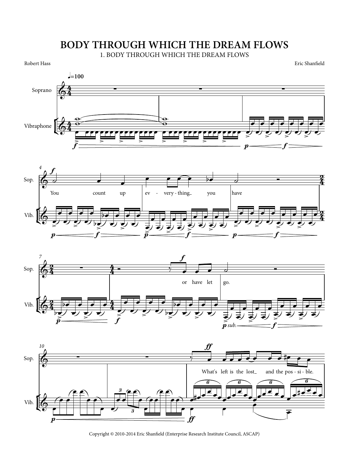1. BODY THROUGH WHICH THE DREAM FLOWS

Robert Hass Eric Shanfield









Copyright © 2010-2014 Eric Shanfield (Enterprise Research Institute Council, ASCAP)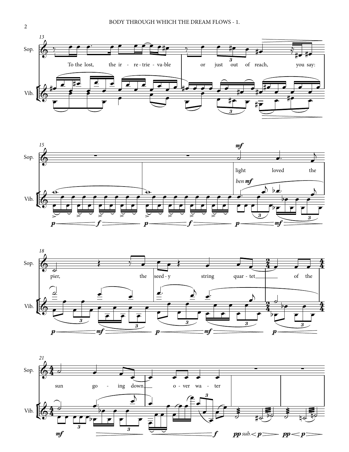





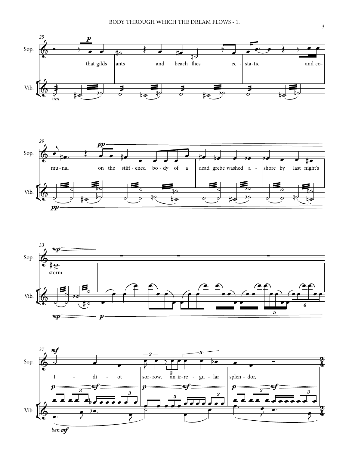





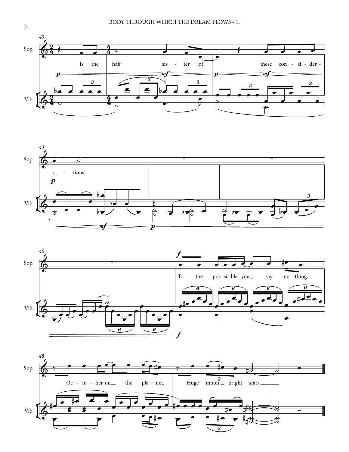





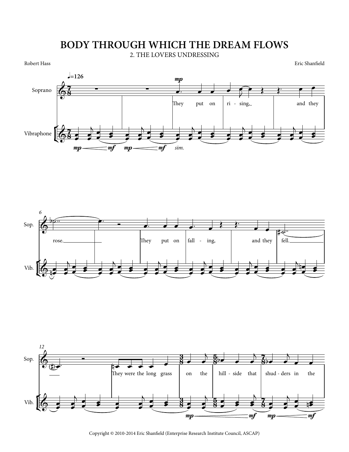2. THE LOVERS UNDRESSING

Robert Hass Eric Shanfield







Copyright © 2010-2014 Eric Shanfield (Enterprise Research Institute Council, ASCAP)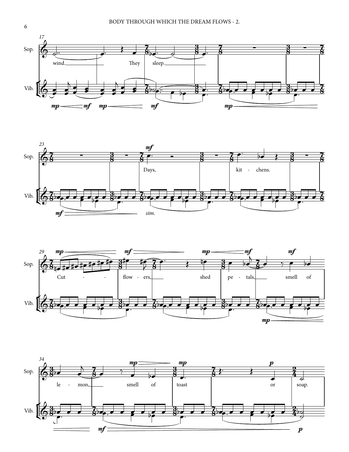





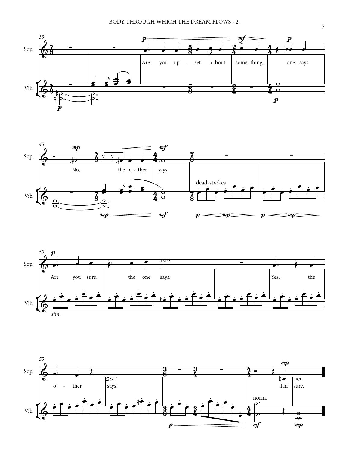





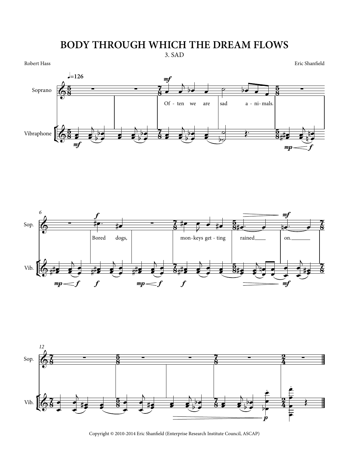3. SAD

Robert Hass







Copyright © 2010-2014 Eric Shanfield (Enterprise Research Institute Council, ASCAP)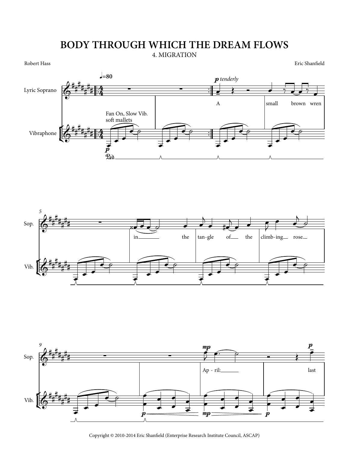4. MIGRATION

Eric Shanfield

Robert Hass







Copyright © 2010-2014 Eric Shanfield (Enterprise Research Institute Council, ASCAP)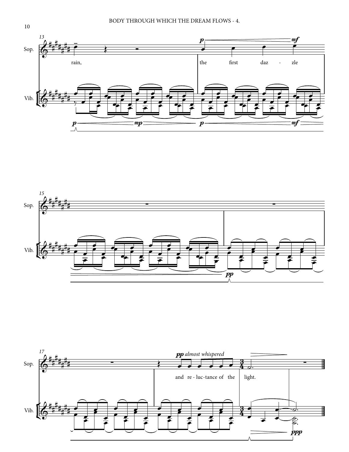



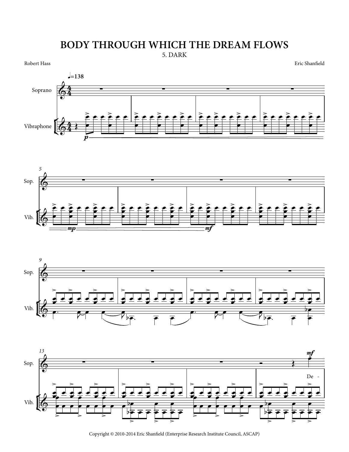5. DARK

Robert Hass

 $\sqrt{=}138$ 











Copyright © 2010-2014 Eric Shanfield (Enterprise Research Institute Council, ASCAP)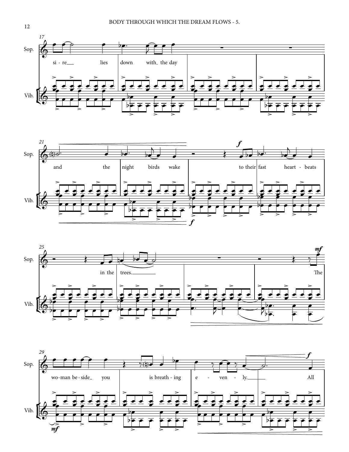





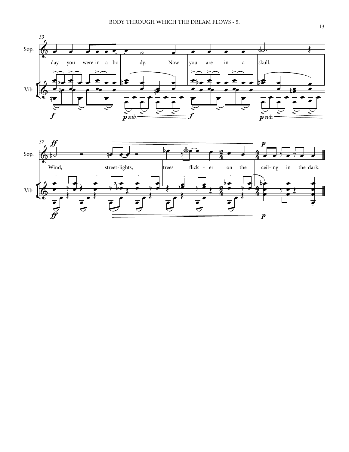

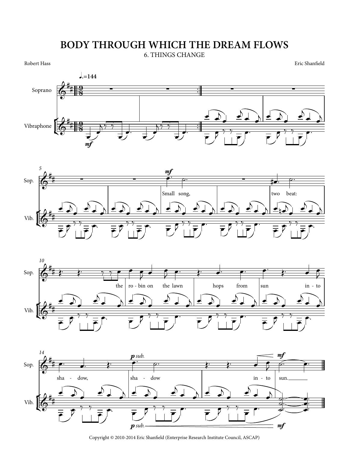6. THINGS CHANGE

Robert Hass









Copyright © 2010-2014 Eric Shanfield (Enterprise Research Institute Council, ASCAP)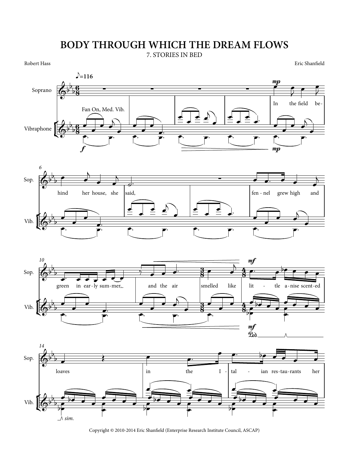7. STORIES IN BED

Robert Hass









Copyright © 2010-2014 Eric Shanfield (Enterprise Research Institute Council, ASCAP)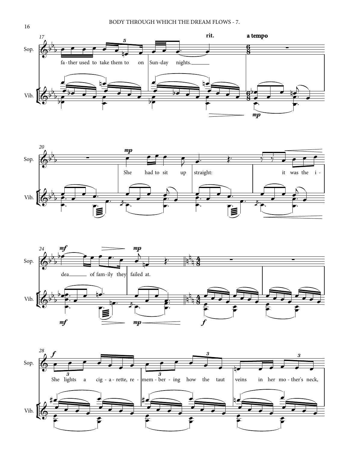





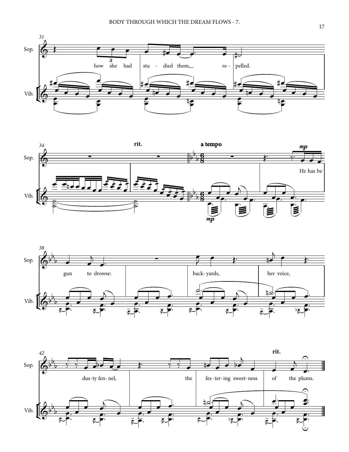





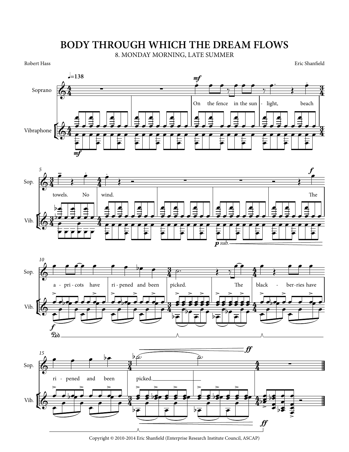8. MONDAY MORNING, LATE SUMMER

Robert Hass









Copyright © 2010-2014 Eric Shanfield (Enterprise Research Institute Council, ASCAP)